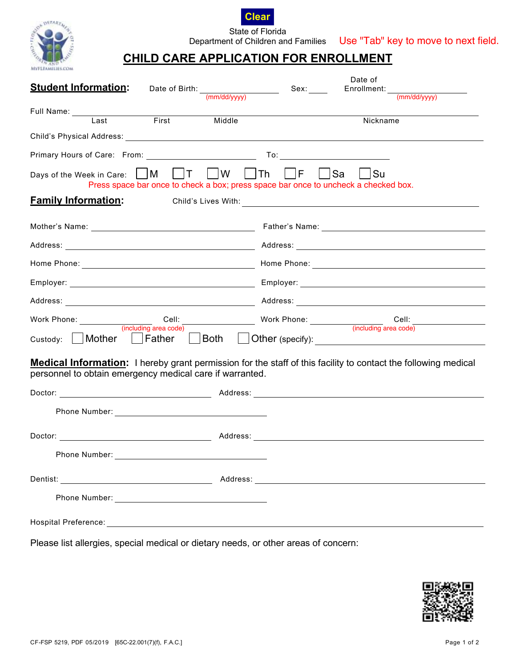



State of Florida

Department of Children and Families Use "Tab" key to move to next field.

## **CHILD CARE APPLICATION FOR ENROLLMENT**

| <b>Student Information:</b>                                                                                                                                                               | Date of                                                                          |  |  |  |  |  |
|-------------------------------------------------------------------------------------------------------------------------------------------------------------------------------------------|----------------------------------------------------------------------------------|--|--|--|--|--|
| Date of Birth: $\frac{(\text{mm/dd/yyyy})}{(\text{mm/dd/yyyy})}$ Sex:                                                                                                                     |                                                                                  |  |  |  |  |  |
| First<br>Middle<br>Last                                                                                                                                                                   | Nickname                                                                         |  |  |  |  |  |
|                                                                                                                                                                                           |                                                                                  |  |  |  |  |  |
|                                                                                                                                                                                           |                                                                                  |  |  |  |  |  |
| Press space bar once to check a box; press space bar once to uncheck a checked box.                                                                                                       | <b>Su</b>                                                                        |  |  |  |  |  |
| <b>Family Information:</b>                                                                                                                                                                |                                                                                  |  |  |  |  |  |
|                                                                                                                                                                                           |                                                                                  |  |  |  |  |  |
|                                                                                                                                                                                           |                                                                                  |  |  |  |  |  |
|                                                                                                                                                                                           |                                                                                  |  |  |  |  |  |
|                                                                                                                                                                                           |                                                                                  |  |  |  |  |  |
|                                                                                                                                                                                           |                                                                                  |  |  |  |  |  |
| Work Phone: Cell: Cell: Cell: Work Phone: Cell: Cell: Cell: Cell: Cell: Cell: Cell: Cell: Cell: Cell: Cell: Cell: Cell: Cell: Cell: Cell: Cell: Cell: Cell: Cell: Cell: Cuding area code) | Cell: __________________                                                         |  |  |  |  |  |
|                                                                                                                                                                                           | Custody: Mother Father JBoth JOther (specify): _________________________________ |  |  |  |  |  |
| <b>Medical Information:</b> I hereby grant permission for the staff of this facility to contact the following medical<br>personnel to obtain emergency medical care if warranted.         |                                                                                  |  |  |  |  |  |
|                                                                                                                                                                                           |                                                                                  |  |  |  |  |  |
|                                                                                                                                                                                           |                                                                                  |  |  |  |  |  |
|                                                                                                                                                                                           |                                                                                  |  |  |  |  |  |
| Phone Number:                                                                                                                                                                             |                                                                                  |  |  |  |  |  |
|                                                                                                                                                                                           |                                                                                  |  |  |  |  |  |
|                                                                                                                                                                                           |                                                                                  |  |  |  |  |  |
|                                                                                                                                                                                           |                                                                                  |  |  |  |  |  |
| Please list allergies, special medical or dietary needs, or other areas of concern:                                                                                                       |                                                                                  |  |  |  |  |  |